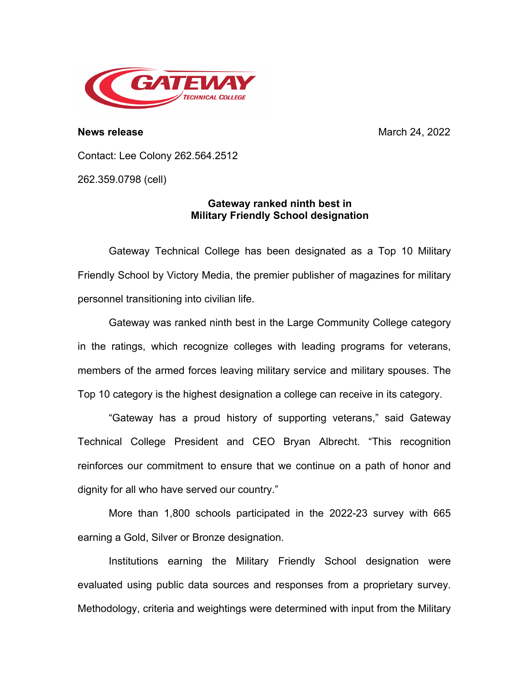

**News release** March 24, 2022

Contact: Lee Colony 262.564.2512

262.359.0798 (cell)

## **Gateway ranked ninth best in Military Friendly School designation**

Gateway Technical College has been designated as a Top 10 Military Friendly School by Victory Media, the premier publisher of magazines for military personnel transitioning into civilian life.

Gateway was ranked ninth best in the Large Community College category in the ratings, which recognize colleges with leading programs for veterans, members of the armed forces leaving military service and military spouses. The Top 10 category is the highest designation a college can receive in its category.

"Gateway has a proud history of supporting veterans," said Gateway Technical College President and CEO Bryan Albrecht. "This recognition reinforces our commitment to ensure that we continue on a path of honor and dignity for all who have served our country."

More than 1,800 schools participated in the 2022-23 survey with 665 earning a Gold, Silver or Bronze designation.

Institutions earning the Military Friendly School designation were evaluated using public data sources and responses from a proprietary survey. Methodology, criteria and weightings were determined with input from the Military